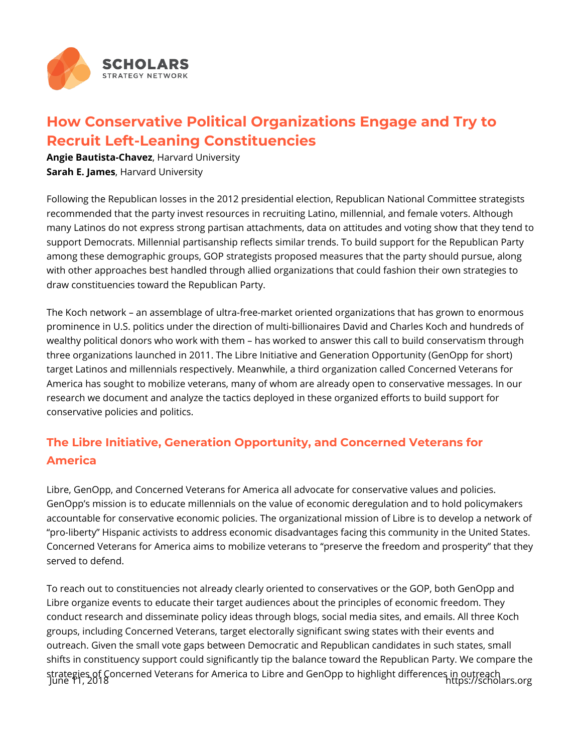

## **How Conservative Political Organizations Engage and Try to Recruit Left-Leaning Constituencies**

**Angie Bautista-Chavez**, Harvard University **Sarah E. James**, Harvard University

Following the Republican losses in the 2012 presidential election, Republican National Committee strategists recommended that the party invest resources in recruiting Latino, millennial, and female voters. Although many Latinos do not express strong partisan attachments, data on attitudes and voting show that they tend to support Democrats. Millennial partisanship reflects similar trends. To build support for the Republican Party among these demographic groups, GOP strategists proposed measures that the party should pursue, along with other approaches best handled through allied organizations that could fashion their own strategies to draw constituencies toward the Republican Party.

The Koch network – an assemblage of ultra-free-market oriented organizations that has grown to enormous prominence in U.S. politics under the direction of multi-billionaires David and Charles Koch and hundreds of wealthy political donors who work with them – has worked to answer this call to build conservatism through three organizations launched in 2011. The Libre Initiative and Generation Opportunity (GenOpp for short) target Latinos and millennials respectively. Meanwhile, a third organization called Concerned Veterans for America has sought to mobilize veterans, many of whom are already open to conservative messages. In our research we document and analyze the tactics deployed in these organized efforts to build support for conservative policies and politics.

## **The Libre Initiative, Generation Opportunity, and Concerned Veterans for America**

Libre, GenOpp, and Concerned Veterans for America all advocate for conservative values and policies. GenOpp's mission is to educate millennials on the value of economic deregulation and to hold policymakers accountable for conservative economic policies. The organizational mission of Libre is to develop a network of "pro-liberty" Hispanic activists to address economic disadvantages facing this community in the United States. Concerned Veterans for America aims to mobilize veterans to "preserve the freedom and prosperity" that they served to defend.

To reach out to constituencies not already clearly oriented to conservatives or the GOP, both GenOpp and Libre organize events to educate their target audiences about the principles of economic freedom. They conduct research and disseminate policy ideas through blogs, social media sites, and emails. All three Koch groups, including Concerned Veterans, target electorally significant swing states with their events and outreach. Given the small vote gaps between Democratic and Republican candidates in such states, small shifts in constituency support could significantly tip the balance toward the Republican Party. We compare the strategies of Concerned Veterans for America to Libre and GenOpp to highlight differences in outreach<br>June 11, 2018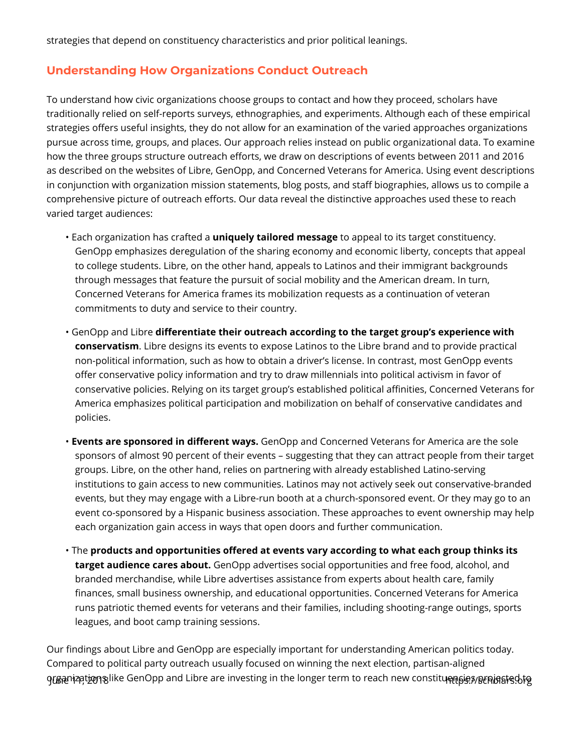strategies that depend on constituency characteristics and prior political leanings.

## **Understanding How Organizations Conduct Outreach**

To understand how civic organizations choose groups to contact and how they proceed, scholars have traditionally relied on self-reports surveys, ethnographies, and experiments. Although each of these empirical strategies offers useful insights, they do not allow for an examination of the varied approaches organizations pursue across time, groups, and places. Our approach relies instead on public organizational data. To examine how the three groups structure outreach efforts, we draw on descriptions of events between 2011 and 2016 as described on the websites of Libre, GenOpp, and Concerned Veterans for America. Using event descriptions in conjunction with organization mission statements, blog posts, and staff biographies, allows us to compile a comprehensive picture of outreach efforts. Our data reveal the distinctive approaches used these to reach varied target audiences:

- Each organization has crafted a **uniquely tailored message** to appeal to its target constituency. GenOpp emphasizes deregulation of the sharing economy and economic liberty, concepts that appeal to college students. Libre, on the other hand, appeals to Latinos and their immigrant backgrounds through messages that feature the pursuit of social mobility and the American dream. In turn, Concerned Veterans for America frames its mobilization requests as a continuation of veteran commitments to duty and service to their country.
- GenOpp and Libre **differentiate their outreach according to the target group's experience with conservatism**. Libre designs its events to expose Latinos to the Libre brand and to provide practical non-political information, such as how to obtain a driver's license. In contrast, most GenOpp events offer conservative policy information and try to draw millennials into political activism in favor of conservative policies. Relying on its target group's established political affinities, Concerned Veterans for America emphasizes political participation and mobilization on behalf of conservative candidates and policies.
- **Events are sponsored in different ways.** GenOpp and Concerned Veterans for America are the sole sponsors of almost 90 percent of their events – suggesting that they can attract people from their target groups. Libre, on the other hand, relies on partnering with already established Latino-serving institutions to gain access to new communities. Latinos may not actively seek out conservative-branded events, but they may engage with a Libre-run booth at a church-sponsored event. Or they may go to an event co-sponsored by a Hispanic business association. These approaches to event ownership may help each organization gain access in ways that open doors and further communication.
- The **products and opportunities offered at events vary according to what each group thinks its target audience cares about.** GenOpp advertises social opportunities and free food, alcohol, and branded merchandise, while Libre advertises assistance from experts about health care, family finances, small business ownership, and educational opportunities. Concerned Veterans for America runs patriotic themed events for veterans and their families, including shooting-range outings, sports leagues, and boot camp training sessions.

Our findings about Libre and GenOpp are especially important for understanding American politics today. Compared to political party outreach usually focused on winning the next election, partisan-aligned organizations like GenOpp and Libre are investing in the longer term to reach new constituensies projected to